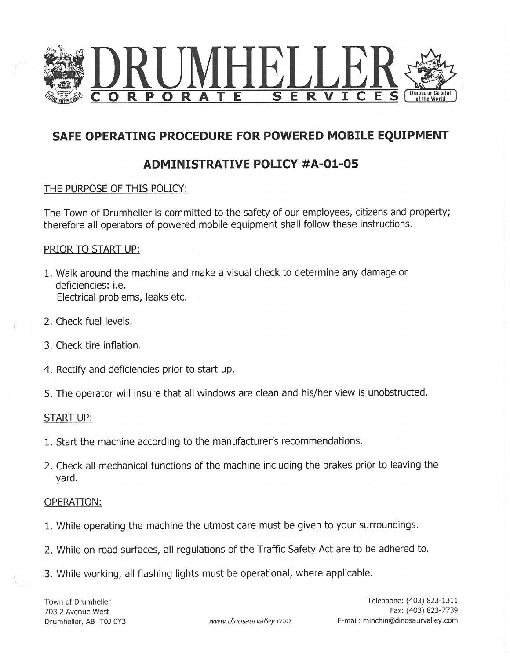

# SAFE OPERATING PROCEDURE FOR POWERED MOBILE EQUIPMENT

# ADMINISTRATIVE POLICY #A-01-O5

## THE PURPOSE OF THIS POLICY:

The Town of Drumheller is committed to the safety of our employees, citizens and property; therefore all operators of powered mobile equipment shall follow these instructions.

### PRIOR TO START UP:

- 1. Walk around the machine and make a visual check to determine any damage or deficiencies: i.e. Electrical problems, leaks etc.
- 2. Check fuel levels.
- 3. Check tire inflation.
- 4. Rectify and deficiencies prior to start up.
- 5. The operator will insure that all windows are clean and his/her view is unobstructed.

### START UP:

- 1. Start the machine according to the manufacturer's recommendations.
- 2. Check all mechanical functions of the machine including the brakes prior to leaving the yard.

### OPERATION:

- 1. While operating the machine the utmost care must be given to your surroundings.
- 2. While on road surfaces, all regulations of the Traffic Safety Act are to be adhered to.
- 3. While working, all flashing lights must be operational, where applicable.